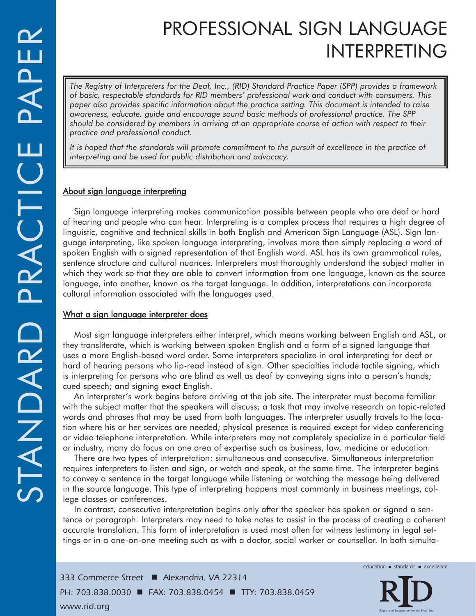# PROFESSIONAL SIGN LANGUAGE INTERPRETING

*The Registry of Interpreters for the Deaf, Inc., (RID) Standard Practice Paper (SPP) provides a framework of basic, respectable standards for RID members' professional work and conduct with consumers. This paper also provides specific information about the practice setting. This document is intended to raise awareness, educate, guide and encourage sound basic methods of professional practice. The SPP should be considered by members in arriving at an appropriate course of action with respect to their practice and professional conduct.*

*It is hoped that the standards will promote commitment to the pursuit of excellence in the practice of interpreting and be used for public distribution and advocacy.*

## About sign language interpreting

Sign language interpreting makes communication possible between people who are deaf or hard of hearing and people who can hear. Interpreting is a complex process that requires a high degree of linguistic, cognitive and technical skills in both English and American Sign Language (ASL). Sign language interpreting, like spoken language interpreting, involves more than simply replacing a word of spoken English with a signed representation of that English word. ASL has its own grammatical rules, sentence structure and cultural nuances. Interpreters must thoroughly understand the subject matter in which they work so that they are able to convert information from one language, known as the source language, into another, known as the target language. In addition, interpretations can incorporate cultural information associated with the languages used.

## What a sign language interpreter does

Most sign language interpreters either interpret, which means working between English and ASL, or they transliterate, which is working between spoken English and a form of a signed language that uses a more English-based word order. Some interpreters specialize in oral interpreting for deaf or hard of hearing persons who lip-read instead of sign. Other specialties include tactile signing, which is interpreting for persons who are blind as well as deaf by conveying signs into a person's hands; cued speech; and signing exact English.

An interpreter's work begins before arriving at the job site. The interpreter must become familiar with the subject matter that the speakers will discuss; a task that may involve research on topic-related words and phrases that may be used from both languages. The interpreter usually travels to the location where his or her services are needed; physical presence is required except for video conferencing or video telephone interpretation. While interpreters may not completely specialize in a particular field or industry, many do focus on one area of expertise such as business, law, medicine or education.

There are two types of interpretation: simultaneous and consecutive. Simultaneous interpretation requires interpreters to listen and sign, or watch and speak, at the same time. The interpreter begins to convey a sentence in the target language while listening or watching the message being delivered in the source language. This type of interpreting happens most commonly in business meetings, college classes or conferences.

In contrast, consecutive interpretation begins only after the speaker has spoken or signed a sentence or paragraph. Interpreters may need to take notes to assist in the process of creating a coherent accurate translation. This form of interpretation is used most often for witness testimony in legal settings or in a one-on-one meeting such as with a doctor, social worker or counsellor. In both simulta-

*333 Commerce Street* - *Alexandria, VA 22314 PH: 703.838.0030* ■ *FAX: 703.838.0454* ■ *TTY: 703.838.0459* www.rid.org

education standards excellence

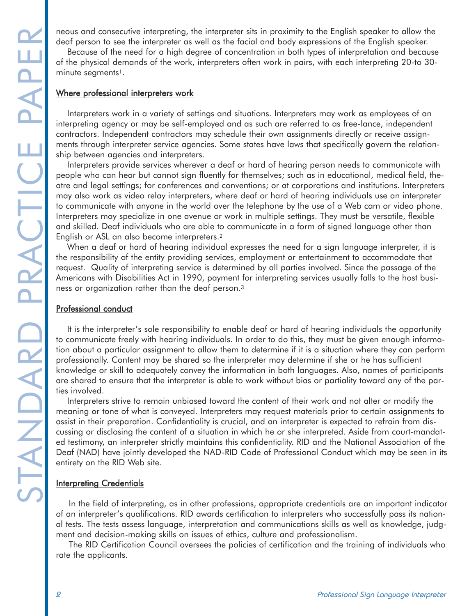deaf person to see the interpreter as well as the facial and body expressions of the English speaker.

Because of the need for a high degree of concentration in both types of interpretation and because of the physical demands of the work, interpreters often work in pairs, with each interpreting 20-to 30 minute segments<sup>1</sup>.

#### Where professional interpreters work

Interpreters work in a variety of settings and situations. Interpreters may work as employees of an interpreting agency or may be self-employed and as such are referred to as free-lance, independent contractors. Independent contractors may schedule their own assignments directly or receive assignments through interpreter service agencies. Some states have laws that specifically govern the relationship between agencies and interpreters.

STANDARD PROFEST INTERFERNAL INTERFERNAL CONSERVER THE INTERFERNAL CONSERVER THE INTERFERNAL CONSERVER THE INTERFERNAL CONSERVER THE INTERFERNAL CONSERVER THE UNIT INTERFERNAL CONSERVER THE UNIT INTERFERNAL CONSERVER THE U Interpreters provide services wherever a deaf or hard of hearing person needs to communicate with people who can hear but cannot sign fluently for themselves; such as in educational, medical field, theatre and legal settings; for conferences and conventions; or at corporations and institutions. Interpreters may also work as video relay interpreters, where deaf or hard of hearing individuals use an interpreter to communicate with anyone in the world over the telephone by the use of a Web cam or video phone. Interpreters may specialize in one avenue or work in multiple settings. They must be versatile, flexible and skilled. Deaf individuals who are able to communicate in a form of signed language other than English or ASL an also become interpreters.2

When a deaf or hard of hearing individual expresses the need for a sign language interpreter, it is the responsibility of the entity providing services, employment or entertainment to accommodate that request. Quality of interpreting service is determined by all parties involved. Since the passage of the Americans with Disabilities Act in 1990, payment for interpreting services usually falls to the host business or organization rather than the deaf person.3

#### Professional conduct

It is the interpreter's sole responsibility to enable deaf or hard of hearing individuals the opportunity to communicate freely with hearing individuals. In order to do this, they must be given enough information about a particular assignment to allow them to determine if it is a situation where they can perform professionally. Content may be shared so the interpreter may determine if she or he has sufficient knowledge or skill to adequately convey the information in both languages. Also, names of participants are shared to ensure that the interpreter is able to work without bias or partiality toward any of the parties involved.

Interpreters strive to remain unbiased toward the content of their work and not alter or modify the meaning or tone of what is conveyed. Interpreters may request materials prior to certain assignments to assist in their preparation. Confidentiality is crucial, and an interpreter is expected to refrain from discussing or disclosing the content of a situation in which he or she interpreted. Aside from court-mandated testimony, an interpreter strictly maintains this confidentiality. RID and the National Association of the Deaf (NAD) have jointly developed the NAD-RID Code of Professional Conduct which may be seen in its entirety on the RID Web site.

### **Interpreting Credentials**

In the field of interpreting, as in other professions, appropriate credentials are an important indicator of an interpreter's qualifications. RID awards certification to interpreters who successfully pass its national tests. The tests assess language, interpretation and communications skills as well as knowledge, judgment and decision-making skills on issues of ethics, culture and professionalism.

The RID Certification Council oversees the policies of certification and the training of individuals who rate the applicants.